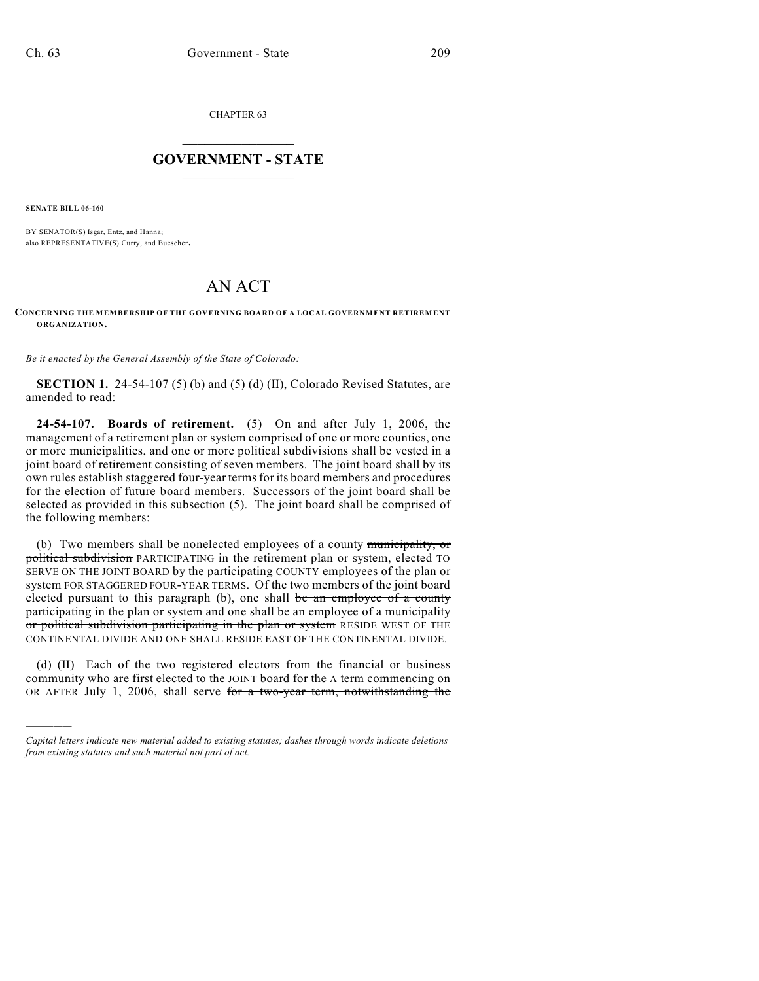CHAPTER 63

## $\overline{\phantom{a}}$  . The set of the set of the set of the set of the set of the set of the set of the set of the set of the set of the set of the set of the set of the set of the set of the set of the set of the set of the set o **GOVERNMENT - STATE**  $\_$

**SENATE BILL 06-160**

)))))

BY SENATOR(S) Isgar, Entz, and Hanna; also REPRESENTATIVE(S) Curry, and Buescher.

## AN ACT

**CONCERNING THE MEMBERSHIP OF THE GOVERNING BOARD OF A LOCAL GOVERNMENT RETIREMENT ORGANIZATION.**

*Be it enacted by the General Assembly of the State of Colorado:*

**SECTION 1.** 24-54-107 (5) (b) and (5) (d) (II), Colorado Revised Statutes, are amended to read:

**24-54-107. Boards of retirement.** (5) On and after July 1, 2006, the management of a retirement plan or system comprised of one or more counties, one or more municipalities, and one or more political subdivisions shall be vested in a joint board of retirement consisting of seven members. The joint board shall by its own rules establish staggered four-year terms for its board members and procedures for the election of future board members. Successors of the joint board shall be selected as provided in this subsection (5). The joint board shall be comprised of the following members:

(b) Two members shall be nonelected employees of a county municipality, or political subdivision PARTICIPATING in the retirement plan or system, elected TO SERVE ON THE JOINT BOARD by the participating COUNTY employees of the plan or system FOR STAGGERED FOUR-YEAR TERMS. Of the two members of the joint board elected pursuant to this paragraph  $(b)$ , one shall be an employee of a county participating in the plan or system and one shall be an employee of a municipality or political subdivision participating in the plan or system RESIDE WEST OF THE CONTINENTAL DIVIDE AND ONE SHALL RESIDE EAST OF THE CONTINENTAL DIVIDE.

(d) (II) Each of the two registered electors from the financial or business community who are first elected to the JOINT board for the A term commencing on OR AFTER July 1, 2006, shall serve for a two-year term, notwithstanding the

*Capital letters indicate new material added to existing statutes; dashes through words indicate deletions from existing statutes and such material not part of act.*